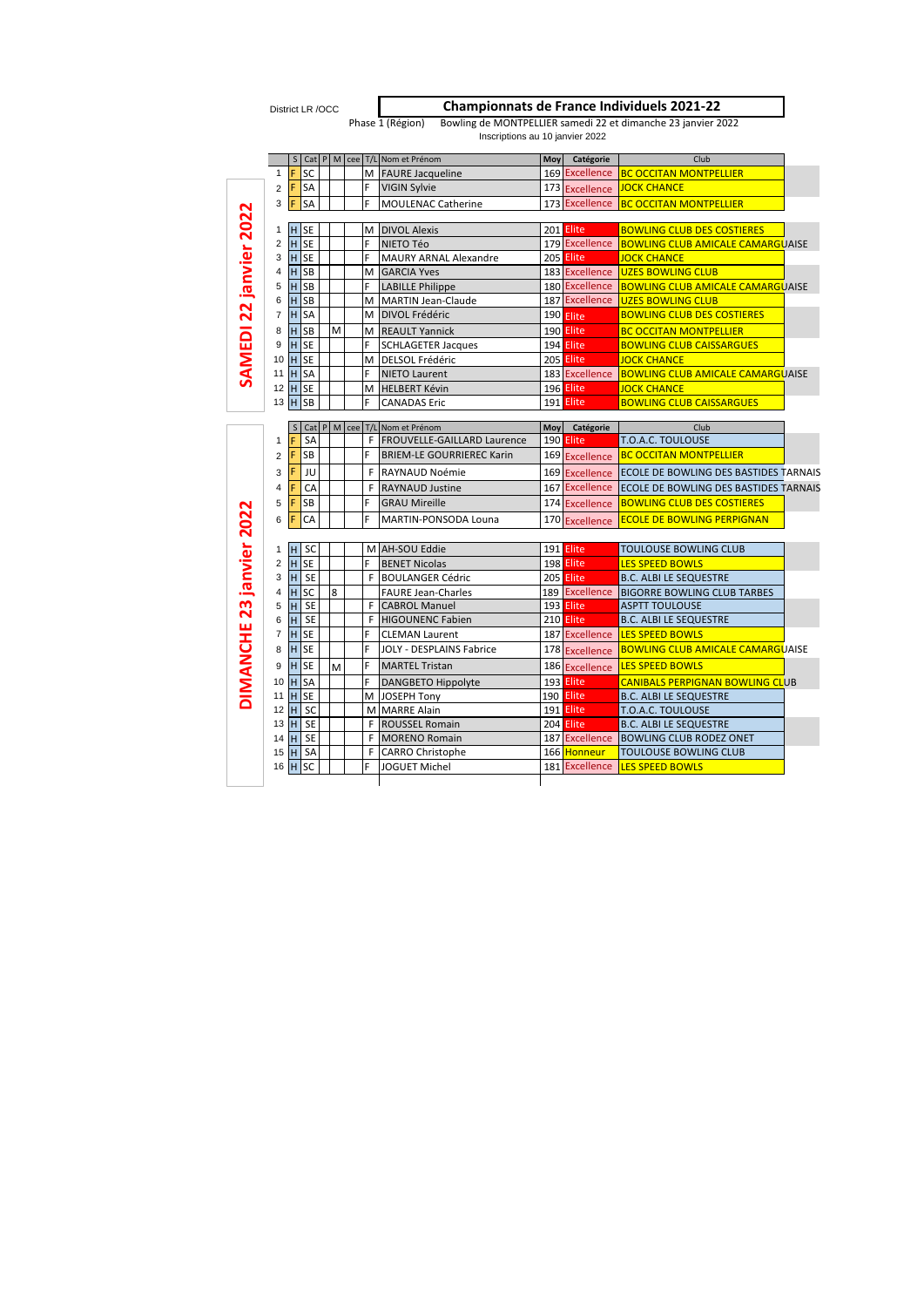District LR /OCC

**Championnats de France Individuels 2021-22**

Phase 1 (Région) Bowling de MONTPELLIER samedi 22 et dimanche 23 janvier 2022<br>Inscriptions au 10 janvier 2022

|                                 |                         |                 |           |   |         | S Cat P M cee T/L Nom et Prénom  | Moy | Catégorie      | Club                                                 |
|---------------------------------|-------------------------|-----------------|-----------|---|---------|----------------------------------|-----|----------------|------------------------------------------------------|
|                                 | 1                       | F               | SC        |   |         | M FAURE Jacqueline               |     |                | 169 Excellence BC OCCITAN MONTPELLIER                |
|                                 | $\overline{2}$          | F               | <b>SA</b> |   | F       | <b>VIGIN Sylvie</b>              |     |                | 173 Excellence JOCK CHANCE                           |
|                                 | 3                       | F               | <b>SA</b> |   | F       | <b>MOULENAC Catherine</b>        |     |                | 173 Excellence BC OCCITAN MONTPELLIER                |
|                                 |                         |                 |           |   |         |                                  |     |                |                                                      |
|                                 | 1                       | H <sub>SE</sub> |           |   |         | M DIVOL Alexis                   |     | 201 Elite      | <b>BOWLING CLUB DES COSTIERES</b>                    |
| SAMEDI 22 janvier 2022          | $\overline{\mathbf{c}}$ | H <sub>SE</sub> |           |   | F       | NIETO Téo                        |     |                | 179 Excellence BOWLING CLUB AMICALE CAMARGUAISE      |
|                                 | 3                       | H               | <b>SE</b> |   | F       | <b>MAURY ARNAL Alexandre</b>     |     | 205 Elite      | <b>JOCK CHANCE</b>                                   |
|                                 | 4                       | $H$ SB          |           |   |         | M GARCIA Yves                    |     |                | 183 Excellence   UZES BOWLING CLUB                   |
|                                 | 5                       | H SB            |           |   | F.      | <b>LABILLE Philippe</b>          |     |                | 180 Excellence BOWLING CLUB AMICALE CAMARGUAISE      |
|                                 | 6                       | H SB            |           |   |         | M MARTIN Jean-Claude             |     |                | 187 Excellence UZES BOWLING CLUB                     |
|                                 | $\overline{7}$          | H SA            |           |   |         | M DIVOL Frédéric                 |     | 190 Elite      | <b>BOWLING CLUB DES COSTIERES</b>                    |
|                                 | 8                       | <b>H</b> SB     |           | M |         | M REAULT Yannick                 |     | 190 Elite      | <b>BC OCCITAN MONTPELLIER</b>                        |
|                                 | 9                       | <b>H</b> SE     |           |   | F       | <b>SCHLAGETER Jacques</b>        |     | 194 Elite      | <b>BOWLING CLUB CAISSARGUES</b>                      |
|                                 | 10                      | <b>H</b> SE     |           |   |         | M DELSOL Frédéric                |     | 205 Elite      | <b>JOCK CHANCE</b>                                   |
|                                 |                         | 11 H SA         |           |   | F       | <b>NIETO Laurent</b>             |     | 183 Excellence | <b>BOWLING CLUB AMICALE CAMARGUAISE</b>              |
|                                 | 12                      | H SE            |           |   |         | M HELBERT Kévin                  |     | 196 Elite      | <b>JOCK CHANCE</b>                                   |
|                                 | 13                      | H               | SB        |   | F       | <b>CANADAS Eric</b>              |     | 191 Elite      | <b>BOWLING CLUB CAISSARGUES</b>                      |
|                                 |                         | S               |           |   |         | Cat P M cee T/L Nom et Prénom    | Moy | Catégorie      | Club                                                 |
|                                 | $\mathbf{1}$            | F               | <b>SA</b> |   |         | F FROUVELLE-GAILLARD Laurence    |     | 190 Elite      | T.O.A.C. TOULOUSE                                    |
|                                 | $\overline{2}$          | F               | <b>SB</b> |   | F       | <b>BRIEM-LE GOURRIEREC Karin</b> |     | 169 Excellence | <b>BC OCCITAN MONTPELLIER</b>                        |
|                                 | 3                       | F               | JU        |   | F       | RAYNAUD Noémie                   |     |                | 169 Excellence ECOLE DE BOWLING DES BASTIDES TARNAIS |
|                                 | 4                       | F               | CA        |   |         | <b>F</b> RAYNAUD Justine         |     |                | 167 Excellence ECOLE DE BOWLING DES BASTIDES TARNAIS |
|                                 | 5                       | F               | <b>SB</b> |   | F       | <b>GRAU Mireille</b>             |     | 174 Excellence | <b>BOWLING CLUB DES COSTIERES</b>                    |
|                                 | 6                       | F               | CA        |   | F       | MARTIN-PONSODA Louna             |     | 170 Excellence | <b>ECOLE DE BOWLING PERPIGNAN</b>                    |
|                                 |                         |                 |           |   |         |                                  |     |                |                                                      |
|                                 | 1                       | H               | <b>SC</b> |   |         | M AH-SOU Eddie                   |     | 191 Elite      | <b>TOULOUSE BOWLING CLUB</b>                         |
|                                 | $\overline{c}$          | H SE            |           |   | F.      | <b>BENET Nicolas</b>             |     | 198 Elite      | <b>LES SPEED BOWLS</b>                               |
|                                 | 3                       | H               | <b>SE</b> |   |         | F BOULANGER Cédric               |     | 205 Elite      | <b>B.C. ALBI LE SEQUESTRE</b>                        |
|                                 | 4                       | $H$ SC          |           | 8 |         | <b>FAURE Jean-Charles</b>        |     | 189 Excellence | <b>BIGORRE BOWLING CLUB TARBES</b>                   |
|                                 | 5                       | H               | <b>SE</b> |   |         | <b>F</b> CABROL Manuel           |     | 193 Elite      | <b>ASPTT TOULOUSE</b>                                |
|                                 | 6                       | H.              | <b>SE</b> |   |         | F HIGOUNENC Fabien               |     | 210 Elite      | <b>B.C. ALBI LE SEQUESTRE</b>                        |
|                                 | 7                       | H               | <b>SE</b> |   | F.      | <b>CLEMAN Laurent</b>            |     |                | 187 Excellence LES SPEED BOWLS                       |
|                                 | 8                       | H <sub>SE</sub> |           |   | F       | JOLY - DESPLAINS Fabrice         |     | 178 Excellence | <b>BOWLING CLUB AMICALE CAMARGUAISE</b>              |
|                                 | 9                       | <b>H</b> SE     |           | M | F       | <b>MARTEL Tristan</b>            |     | 186 Excellence | <b>LES SPEED BOWLS</b>                               |
|                                 |                         |                 |           |   | F       | <b>DANGBETO Hippolyte</b>        |     | 193 Elite      | <b>CANIBALS PERPIGNAN BOWLING CLUB</b>               |
|                                 | 10                      | <b>H</b> SA     |           |   |         | M JOSEPH Tony                    |     | 190 Elite      | <b>B.C. ALBI LE SEQUESTRE</b>                        |
|                                 |                         | 11 H SE         |           |   |         |                                  |     | 191 Elite      | T.O.A.C. TOULOUSE                                    |
|                                 | 12                      | H.              | <b>SC</b> |   |         | M MARRE Alain                    |     |                |                                                      |
|                                 | $13$ H                  |                 | <b>SE</b> |   |         | F ROUSSEL Romain                 |     | 204 Elite      | <b>B.C. ALBI LE SEQUESTRE</b>                        |
| <b>DIMANCHE 23 janvier 2022</b> | $14$ H                  |                 | <b>SE</b> |   |         | F MORENO Romain                  |     | 187 Excellence | <b>BOWLING CLUB RODEZ ONET</b>                       |
|                                 | 15<br>16                | H               | SA        |   | F.<br>F | <b>CARRO Christophe</b>          |     | 166 Honneur    | <b>TOULOUSE BOWLING CLUB</b>                         |